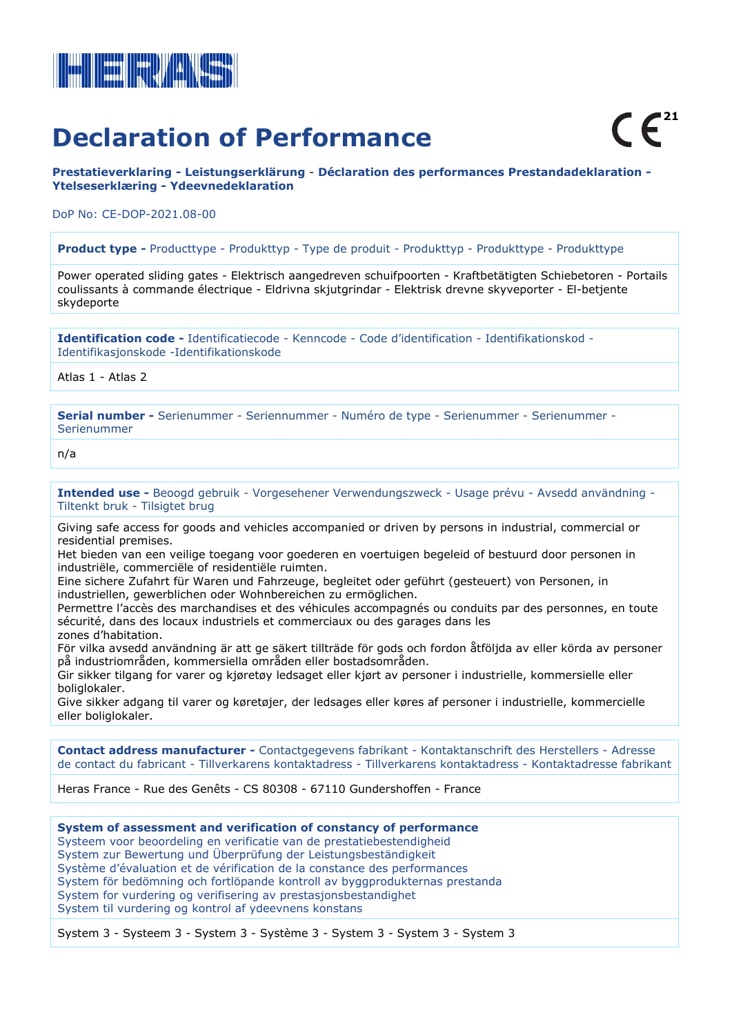

## **Declaration of Performance**

**Prestatieverklaring - Leistungserklärung** - **Déclaration des performances Prestandadeklaration - Ytelseserklæring - Ydeevnedeklaration**

DoP No: CE-DOP-2021.08-00

**Product type -** Producttype - Produkttyp - Type de produit - Produkttyp - Produkttype - Produkttype

Power operated sliding gates - Elektrisch aangedreven schuifpoorten - Kraftbetätigten Schiebetoren - Portails coulissants à commande électrique - Eldrivna skjutgrindar - Elektrisk drevne skyveporter - El-betjente skydeporte

**Identification code -** Identificatiecode - Kenncode - Code d'identification - Identifikationskod - Identifikasjonskode -Identifikationskode

Atlas 1 - Atlas 2

**Serial number -** Serienummer - Seriennummer - Numéro de type - Serienummer - Serienummer - Serienummer

n/a

**Intended use -** Beoogd gebruik - Vorgesehener Verwendungszweck - Usage prévu - Avsedd användning - Tiltenkt bruk - Tilsigtet brug

Giving safe access for goods and vehicles accompanied or driven by persons in industrial, commercial or residential premises.

Het bieden van een veilige toegang voor goederen en voertuigen begeleid of bestuurd door personen in industriële, commerciële of residentiële ruimten.

Eine sichere Zufahrt für Waren und Fahrzeuge, begleitet oder geführt (gesteuert) von Personen, in industriellen, gewerblichen oder Wohnbereichen zu ermöglichen.

Permettre l'accès des marchandises et des véhicules accompagnés ou conduits par des personnes, en toute sécurité, dans des locaux industriels et commerciaux ou des garages dans les zones d'habitation.

För vilka avsedd användning är att ge säkert tillträde för gods och fordon åtföljda av eller körda av personer på industriområden, kommersiella områden eller bostadsområden.

Gir sikker tilgang for varer og kjøretøy ledsaget eller kjørt av personer i industrielle, kommersielle eller boliglokaler.

Give sikker adgang til varer og køretøjer, der ledsages eller køres af personer i industrielle, kommercielle eller boliglokaler.

**Contact address manufacturer -** Contactgegevens fabrikant - Kontaktanschrift des Herstellers - Adresse de contact du fabricant - Tillverkarens kontaktadress - Tillverkarens kontaktadress - Kontaktadresse fabrikant

Heras France - Rue des Genêts - CS 80308 - 67110 Gundershoffen - France

**System of assessment and verification of constancy of performance** Systeem voor beoordeling en verificatie van de prestatiebestendigheid System zur Bewertung und Überprüfung der Leistungsbeständigkeit Système d'évaluation et de vérification de la constance des performances System för bedömning och fortlöpande kontroll av byggprodukternas prestanda System for vurdering og verifisering av prestasjonsbestandighet System til vurdering og kontrol af ydeevnens konstans

System 3 - Systeem 3 - System 3 - Système 3 - System 3 - System 3 - System 3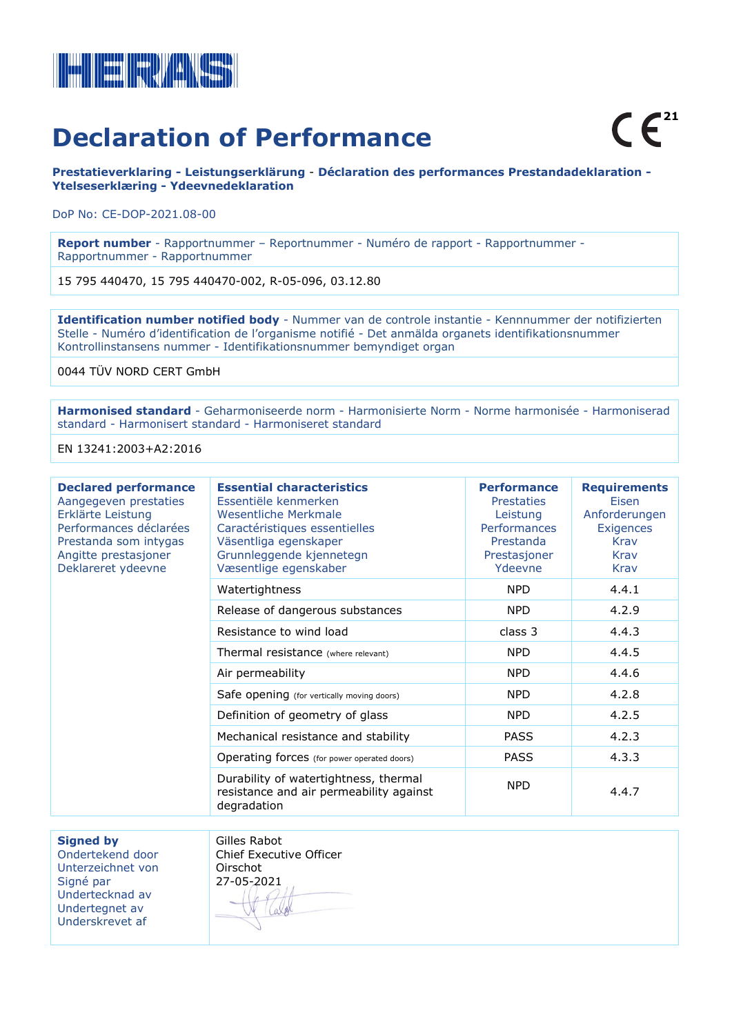

## **Declaration of Performance**

**Prestatieverklaring - Leistungserklärung** - **Déclaration des performances Prestandadeklaration - Ytelseserklæring - Ydeevnedeklaration**

DoP No: CE-DOP-2021.08-00

**Report number** - Rapportnummer – Reportnummer - Numéro de rapport - Rapportnummer - Rapportnummer - Rapportnummer

15 795 440470, 15 795 440470-002, R-05-096, 03.12.80

**Identification number notified body** - Nummer van de controle instantie - Kennnummer der notifizierten Stelle - Numéro d'identification de l'organisme notifié - Det anmälda organets identifikationsnummer Kontrollinstansens nummer - Identifikationsnummer bemyndiget organ

0044 TÜV NORD CERT GmbH

**Harmonised standard** - Geharmoniseerde norm - Harmonisierte Norm - Norme harmonisée - Harmoniserad standard - Harmonisert standard - Harmoniseret standard

EN 13241:2003+A2:2016

| <b>Declared performance</b><br>Aangegeven prestaties<br>Erklärte Leistung<br>Performances déclarées<br>Prestanda som intygas<br>Angitte prestasjoner<br>Deklareret ydeevne | <b>Essential characteristics</b><br>Essentiële kenmerken<br><b>Wesentliche Merkmale</b><br>Caractéristiques essentielles<br>Väsentliga egenskaper<br>Grunnleggende kjennetegn<br>Væsentlige egenskaber | <b>Performance</b><br><b>Prestaties</b><br>Leistung<br><b>Performances</b><br>Prestanda<br>Prestasjoner<br>Ydeevne | <b>Requirements</b><br>Eisen<br>Anforderungen<br><b>Exigences</b><br>Krav<br><b>Krav</b><br>Krav |
|----------------------------------------------------------------------------------------------------------------------------------------------------------------------------|--------------------------------------------------------------------------------------------------------------------------------------------------------------------------------------------------------|--------------------------------------------------------------------------------------------------------------------|--------------------------------------------------------------------------------------------------|
|                                                                                                                                                                            | Watertightness                                                                                                                                                                                         | <b>NPD</b>                                                                                                         | 4.4.1                                                                                            |
|                                                                                                                                                                            | Release of dangerous substances                                                                                                                                                                        | <b>NPD</b>                                                                                                         | 4.2.9                                                                                            |
|                                                                                                                                                                            | Resistance to wind load                                                                                                                                                                                | class 3                                                                                                            | 4.4.3                                                                                            |
|                                                                                                                                                                            | Thermal resistance (where relevant)                                                                                                                                                                    | <b>NPD</b>                                                                                                         | 4.4.5                                                                                            |
|                                                                                                                                                                            | Air permeability                                                                                                                                                                                       | <b>NPD</b>                                                                                                         | 4.4.6                                                                                            |
|                                                                                                                                                                            | Safe opening (for vertically moving doors)                                                                                                                                                             | <b>NPD</b>                                                                                                         | 4.2.8                                                                                            |
|                                                                                                                                                                            | Definition of geometry of glass                                                                                                                                                                        | <b>NPD</b>                                                                                                         | 4.2.5                                                                                            |
|                                                                                                                                                                            | Mechanical resistance and stability                                                                                                                                                                    | <b>PASS</b>                                                                                                        | 4.2.3                                                                                            |
|                                                                                                                                                                            | Operating forces (for power operated doors)                                                                                                                                                            | <b>PASS</b>                                                                                                        | 4.3.3                                                                                            |
|                                                                                                                                                                            | Durability of watertightness, thermal<br>resistance and air permeability against<br>degradation                                                                                                        | <b>NPD</b>                                                                                                         | 4.4.7                                                                                            |

**Signed by** 

Ondertekend door Unterzeichnet von Signé par Undertecknad av Undertegnet av Underskrevet af

Gilles Rabot Chief Executive Officer Oirschot 27-05-2021